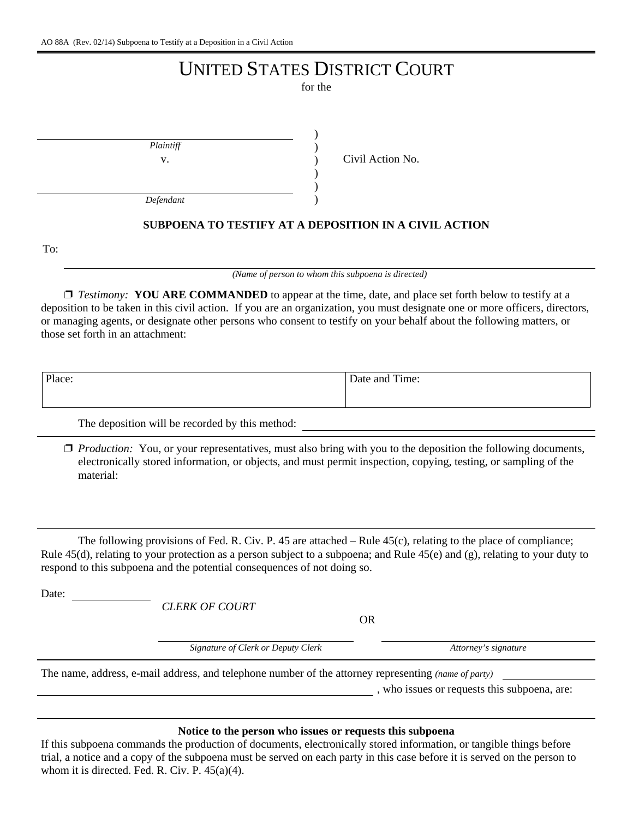# UNITED STATES DISTRICT COURT

for the

| Plaintiff |  |
|-----------|--|
| v.        |  |
|           |  |
|           |  |

Civil Action No.

*Defendant*

## **SUBPOENA TO TESTIFY AT A DEPOSITION IN A CIVIL ACTION**

To:

*(Name of person to whom this subpoena is directed)*

□ *Testimony:* **YOU ARE COMMANDED** to appear at the time, date, and place set forth below to testify at a deposition to be taken in this civil action. If you are an organization, you must designate one or more officers, directors, or managing agents, or designate other persons who consent to testify on your behalf about the following matters, or those set forth in an attachment:

| Place: | 1.7T<br>Date and Time: |
|--------|------------------------|
|        |                        |

The deposition will be recorded by this method:

□ *Production:* You, or your representatives, must also bring with you to the deposition the following documents, electronically stored information, or objects, and must permit inspection, copying, testing, or sampling of the material:

The following provisions of Fed. R. Civ. P. 45 are attached – Rule 45(c), relating to the place of compliance; Rule 45(d), relating to your protection as a person subject to a subpoena; and Rule 45(e) and (g), relating to your duty to respond to this subpoena and the potential consequences of not doing so.

Date:

*CLERK OF COURT*

OR

Signature of Clerk or Deputy Clerk **Attorney's signature** 

The name, address, e-mail address, and telephone number of the attorney representing *(name of party)*

, who issues or requests this subpoena, are:

## **Notice to the person who issues or requests this subpoena**

If this subpoena commands the production of documents, electronically stored information, or tangible things before trial, a notice and a copy of the subpoena must be served on each party in this case before it is served on the person to whom it is directed. Fed. R. Civ. P. 45(a)(4).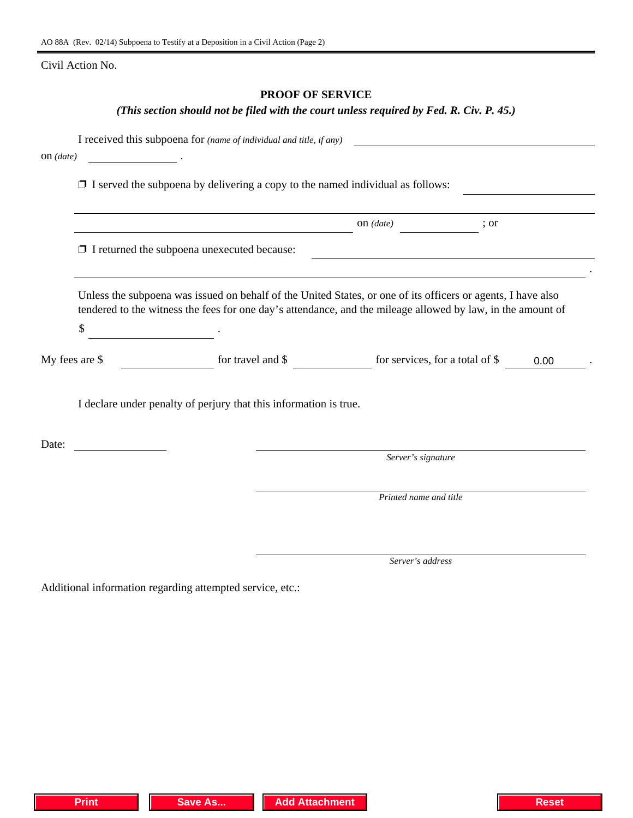Civil Action No.

## **PROOF OF SERVICE**

## *(This section should not be filed with the court unless required by Fed. R. Civ. P. 45.)*

| $on$ (date)    |                                                                                                                                                                                                                             |                        |      |      |
|----------------|-----------------------------------------------------------------------------------------------------------------------------------------------------------------------------------------------------------------------------|------------------------|------|------|
|                | $\Box$ I served the subpoena by delivering a copy to the named individual as follows:                                                                                                                                       |                        |      |      |
|                | <u> Alexandria (Carlo Carlo Carlo Carlo Carlo Carlo Carlo Carlo Carlo Carlo Carlo Carlo Carlo Carlo Carlo Carlo C</u>                                                                                                       | on $(data)$            | ; or |      |
|                | $\Box$ I returned the subpoena unexecuted because:                                                                                                                                                                          |                        |      |      |
| \$             | Unless the subpoena was issued on behalf of the United States, or one of its officers or agents, I have also<br>tendered to the witness the fees for one day's attendance, and the mileage allowed by law, in the amount of |                        |      |      |
| My fees are \$ | for travel and $\$ for services, for a total of $\$                                                                                                                                                                         |                        |      | 0.00 |
|                | I declare under penalty of perjury that this information is true.                                                                                                                                                           |                        |      |      |
| Date:          |                                                                                                                                                                                                                             |                        |      |      |
|                |                                                                                                                                                                                                                             | Server's signature     |      |      |
|                |                                                                                                                                                                                                                             | Printed name and title |      |      |
|                |                                                                                                                                                                                                                             |                        |      |      |
|                |                                                                                                                                                                                                                             | Server's address       |      |      |

Additional information regarding attempted service, etc.: